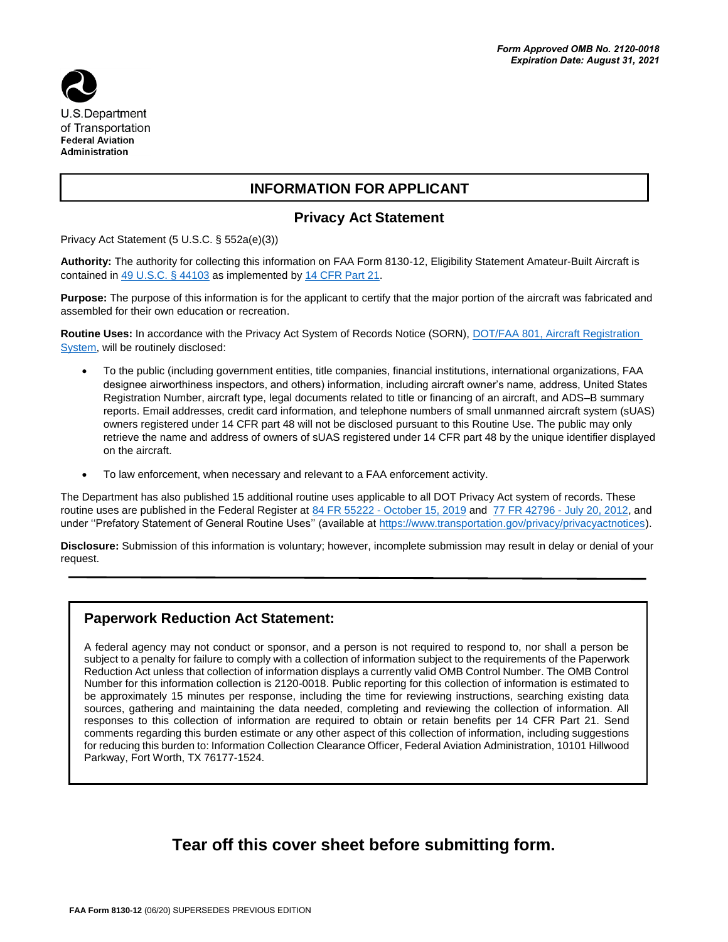

## **INFORMATION FOR APPLICANT**

## **Privacy Act Statement**

Privacy Act Statement (5 U.S.C. § 552a(e)(3))

**Authority:** The authority for collecting this information on FAA Form 8130-12, Eligibility Statement Amateur-Built Aircraft is contained in [49 U.S.C. §](https://www.law.cornell.edu/uscode/text/49/44103) 44103 as implemented b[y 14 CFR Part 21.](https://www.law.cornell.edu/cfr/text/14/part-21)

**Purpose:** The purpose of this information is for the applicant to certify that the major portion of the aircraft was fabricated and assembled for their own education or recreation.

Routine Uses: In accordance with the Privacy Act System of Records Notice (SORN), DOT/FAA 801, Aircraft Registration [System,](https://www.govinfo.gov/content/pkg/FR-2016-08-15/pdf/2016-19354.pdf) will be routinely disclosed:

- To the public (including government entities, title companies, financial institutions, international organizations, FAA designee airworthiness inspectors, and others) information, including aircraft owner's name, address, United States Registration Number, aircraft type, legal documents related to title or financing of an aircraft, and ADS–B summary reports. Email addresses, credit card information, and telephone numbers of small unmanned aircraft system (sUAS) owners registered under 14 CFR part 48 will not be disclosed pursuant to this Routine Use. The public may only retrieve the name and address of owners of sUAS registered under 14 CFR part 48 by the unique identifier displayed on the aircraft.
- To law enforcement, when necessary and relevant to a FAA enforcement activity.

The Department has also published 15 additional routine uses applicable to all DOT Privacy Act system of records. These routine uses are published in the Federal Register at 84 FR 55222 - [October 15, 2019](https://www.federalregister.gov/documents/2019/10/15/2019-22398/privacy-act-of-1974-system-of-records-amendment-of-a-general-routine-use) and [77 FR 42796 -](https://www.federalregister.gov/documents/2012/07/20/2012-17697/privacy-act-of-1974-system-of-records-statement-of-general-routine-uses-notice-of-establishment-of) July 20, 2012, and under "Prefatory Statement of General Routine Uses" (available at [https://www.transportation.gov/privacy/privacyactnotices\)](https://www.transportation.gov/individuals/privacy/privacy-act-system-records-notices).

**Disclosure:** Submission of this information is voluntary; however, incomplete submission may result in delay or denial of your request.

## **Paperwork Reduction Act Statement:**

A federal agency may not conduct or sponsor, and a person is not required to respond to, nor shall a person be subject to a penalty for failure to comply with a collection of information subject to the requirements of the Paperwork Reduction Act unless that collection of information displays a currently valid OMB Control Number. The OMB Control Number for this information collection is 2120-0018. Public reporting for this collection of information is estimated to be approximately 15 minutes per response, including the time for reviewing instructions, searching existing data sources, gathering and maintaining the data needed, completing and reviewing the collection of information. All responses to this collection of information are required to obtain or retain benefits per 14 CFR Part 21. Send comments regarding this burden estimate or any other aspect of this collection of information, including suggestions for reducing this burden to: Information Collection Clearance Officer, Federal Aviation Administration, 10101 Hillwood Parkway, Fort Worth, TX 76177-1524.

## **Tear off this cover sheet before submitting form.**